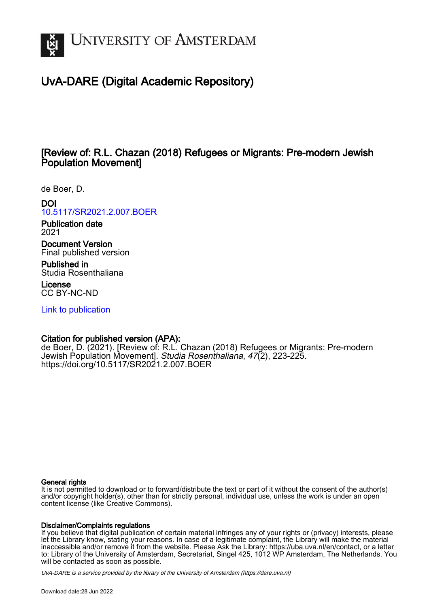

# UvA-DARE (Digital Academic Repository)

## [Review of: R.L. Chazan (2018) Refugees or Migrants: Pre-modern Jewish Population Movement]

de Boer, D.

### DOI

[10.5117/SR2021.2.007.BOER](https://doi.org/10.5117/SR2021.2.007.BOER)

Publication date 2021

Document Version Final published version

Published in Studia Rosenthaliana

License CC BY-NC-ND

[Link to publication](https://dare.uva.nl/personal/pure/en/publications/review-of-rl-chazan-2018-refugees-or-migrants-premodern-jewish-population-movement(9d8844b2-e2e0-41b7-b95f-eaf178a59bfb).html)

### Citation for published version (APA):

de Boer, D. (2021). [Review of: R.L. Chazan (2018) Refugees or Migrants: Pre-modern Jewish Population Movement]. Studia Rosenthaliana, 47(2), 223-225. <https://doi.org/10.5117/SR2021.2.007.BOER>

#### General rights

It is not permitted to download or to forward/distribute the text or part of it without the consent of the author(s) and/or copyright holder(s), other than for strictly personal, individual use, unless the work is under an open content license (like Creative Commons).

### Disclaimer/Complaints regulations

If you believe that digital publication of certain material infringes any of your rights or (privacy) interests, please let the Library know, stating your reasons. In case of a legitimate complaint, the Library will make the material inaccessible and/or remove it from the website. Please Ask the Library: https://uba.uva.nl/en/contact, or a letter to: Library of the University of Amsterdam, Secretariat, Singel 425, 1012 WP Amsterdam, The Netherlands. You will be contacted as soon as possible.

UvA-DARE is a service provided by the library of the University of Amsterdam (http*s*://dare.uva.nl)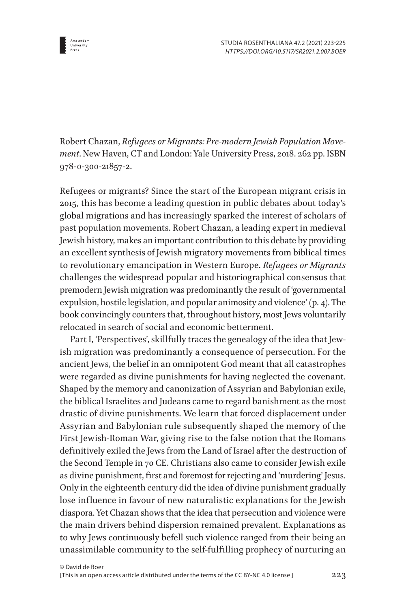

Robert Chazan, *Refugees or Migrants: Pre-modern Jewish Population Movement*. New Haven, CT and London: Yale University Press, 2018. 262 pp. ISBN 978-0-300-21857-2.

Refugees or migrants? Since the start of the European migrant crisis in 2015, this has become a leading question in public debates about today's global migrations and has increasingly sparked the interest of scholars of past population movements. Robert Chazan, a leading expert in medieval Jewish history, makes an important contribution to this debate by providing an excellent synthesis of Jewish migratory movements from biblical times to revolutionary emancipation in Western Europe. *Refugees or Migrants* challenges the widespread popular and historiographical consensus that premodern Jewish migration was predominantly the result of 'governmental expulsion, hostile legislation, and popular animosity and violence' (p. 4). The book convincingly counters that, throughout history, most Jews voluntarily relocated in search of social and economic betterment.

Part I, 'Perspectives', skillfully traces the genealogy of the idea that Jewish migration was predominantly a consequence of persecution. For the ancient Jews, the belief in an omnipotent God meant that all catastrophes were regarded as divine punishments for having neglected the covenant. Shaped by the memory and canonization of Assyrian and Babylonian exile, the biblical Israelites and Judeans came to regard banishment as the most drastic of divine punishments. We learn that forced displacement under Assyrian and Babylonian rule subsequently shaped the memory of the First Jewish-Roman War, giving rise to the false notion that the Romans definitively exiled the Jews from the Land of Israel after the destruction of the Second Temple in 70 CE. Christians also came to consider Jewish exile as divine punishment, first and foremost for rejecting and 'murdering' Jesus. Only in the eighteenth century did the idea of divine punishment gradually lose influence in favour of new naturalistic explanations for the Jewish diaspora. Yet Chazan shows that the idea that persecution and violence were the main drivers behind dispersion remained prevalent. Explanations as to why Jews continuously befell such violence ranged from their being an unassimilable community to the self-fulfilling prophecy of nurturing an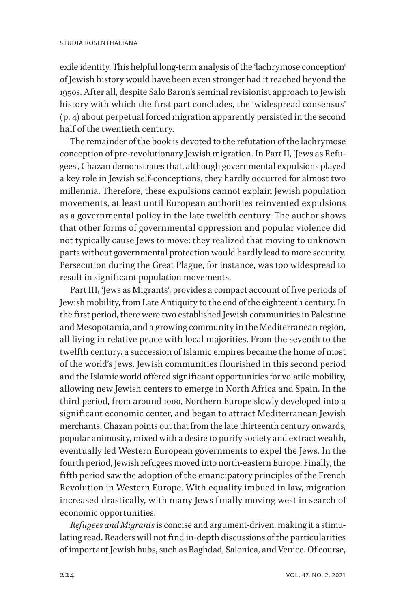exile identity. This helpful long-term analysis of the 'lachrymose conception' of Jewish history would have been even stronger had it reached beyond the 1950s. After all, despite Salo Baron's seminal revisionist approach to Jewish history with which the first part concludes, the 'widespread consensus' (p. 4) about perpetual forced migration apparently persisted in the second half of the twentieth century.

The remainder of the book is devoted to the refutation of the lachrymose conception of pre-revolutionary Jewish migration. In Part II, 'Jews as Refugees', Chazan demonstrates that, although governmental expulsions played a key role in Jewish self-conceptions, they hardly occurred for almost two millennia. Therefore, these expulsions cannot explain Jewish population movements, at least until European authorities reinvented expulsions as a governmental policy in the late twelfth century. The author shows that other forms of governmental oppression and popular violence did not typically cause Jews to move: they realized that moving to unknown parts without governmental protection would hardly lead to more security. Persecution during the Great Plague, for instance, was too widespread to result in significant population movements.

Part III, 'Jews as Migrants', provides a compact account of five periods of Jewish mobility, from Late Antiquity to the end of the eighteenth century. In the first period, there were two established Jewish communities in Palestine and Mesopotamia, and a growing community in the Mediterranean region, all living in relative peace with local majorities. From the seventh to the twelfth century, a succession of Islamic empires became the home of most of the world's Jews. Jewish communities flourished in this second period and the Islamic world offered significant opportunities for volatile mobility, allowing new Jewish centers to emerge in North Africa and Spain. In the third period, from around 1000, Northern Europe slowly developed into a significant economic center, and began to attract Mediterranean Jewish merchants. Chazan points out that from the late thirteenth century onwards, popular animosity, mixed with a desire to purify society and extract wealth, eventually led Western European governments to expel the Jews. In the fourth period, Jewish refugees moved into north-eastern Europe. Finally, the fifth period saw the adoption of the emancipatory principles of the French Revolution in Western Europe. With equality imbued in law, migration increased drastically, with many Jews finally moving west in search of economic opportunities.

*Refugees and Migrants* is concise and argument-driven, making it a stimulating read. Readers will not find in-depth discussions of the particularities of important Jewish hubs, such as Baghdad, Salonica, and Venice. Of course,